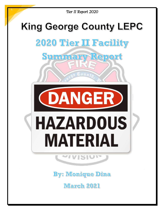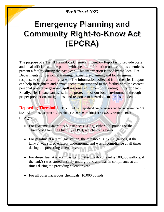# **Emergency Planning and Community Right-to-Know Act** (EPCRA)

The purpose of a Tier II Hazardous Chemical Inventory Report is to provide State and local officials and the public with specific information on hazardous chemicals present a facility during the past year. This information is used by the local Fire Departments for personnel training, hazmat pre-planning and local/regional response to spills and/or releases. The information collected from the Tier II report can help firefighters and hazmat technicians respond to the facility with the correct personal protective gear and spill response equipment, preventing injury or death. Finally, Tier II data can assist in the protection of our local environment, through proper prevention, mitigations, and response to hazardous materials incidents.

**Reporting Thresholds** (Title III of the Superfund Amendments and Reauthorization Act [SARA] of 1986, Section 312, Public Law 99-499, codified at 42 U.S.C Section 11022) [EPA.gov]:

- For Extreme Hazardous Substances (EHSs), either 500 pounds or the Threshold Planning Quantity (TPQ), whichever is lower.
- For gasoline at a retail gas station, the threshold is 75,000 gallons, if the tank(s) was stored entirely underground and was in compliance at all times during the preceding calendar year
- For diesel fuel at a retail gas station, the threshold level is 100,000 gallons, if the tank(s) was stored entirely underground and was in compliance at all times during the preceding calendar year
- For all other hazardous chemicals: 10,000 pounds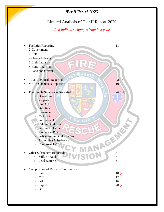### *Tier II Report 2020*

3

### Limited Analysis of Tier II Report-2020

#### *Red indicates changes from last year*

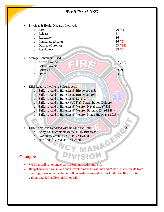|           |                                                                  | Tier II Report 2020                                                                                                           |                                                           |
|-----------|------------------------------------------------------------------|-------------------------------------------------------------------------------------------------------------------------------|-----------------------------------------------------------|
| $\bullet$ | $\Omega$<br>$\Omega$<br>$\circ$<br>$\circ$<br>$\circ$<br>$\circ$ | Physical & Health Hazards Involved:<br>Fire<br>Release<br>Reactivity<br>Immediate (Acute)<br>Delated (Chronic)<br>Respiratory | $26 (+2)$<br>5<br>16<br>$36(-5)$<br>$23(-12)$<br>$33(-2)$ |
| $\bullet$ | $\Omega$<br>$\circ$<br>$\circ$<br>$\circ$                        | <b>Storage Containers Used:</b><br>Above Ground<br><b>Below Ground</b><br><b>Batteries</b><br>Other                           | $32(-12)$<br>6<br>$8(-2)$<br>$24(-8)$                     |

- EHS Reports Involving Sulfuric Acid 7
	- o Sulfuric Acid in Batteries @ Birchwood (8%)
	- o Sulfuric Acid in Batteries @ Birchwood (93%)
	- o Sulfuric Acid in Batteries @ Level 3
	- o Sulfuric Acid in Battery (UPS) @ Naval Station Dahlgren
	- o Sulfuric Acid in Batteries @ Verizon Naval base (7.33%)
	- o Sulfuric Acid in Batteries @ Verizon Potomac Dr. (6.14%)
	- o Sulfuric Acid in Batteries @ Verizon Kings Highway (8.93%)
- - o Anhydrous Ammonia (99.95%) @ Birchwood
	- o Cyclohexylamine (30%) @ Birchwood
	- o Nitric Acid (70%) @ Birchwood

#### **Changes:**

4

- WM Landfill is no longer stocks Sodium Hydroxide Sol.
- EHS Chemicals Reported with no Sulfuric Acid<br>
o Anhydrous Ammonia (99.95%) @ Birchwood<br>
o Cyclohexylamine (30%) @ Birchwood<br>
o Nitric Acid (70%) @ Birchwood<br> **1988:**<br>
WM Landfill is no longer Rappahannock Farms Sand and Gravel removed Gasoline and Motor Oil chemicals from their report since both volumes fall beneath the reporting threshold; Gasoline – 1,000 gallons and 500-gallons of Motor Oil.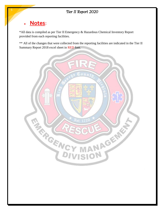## **Notes**:

\*All data is compiled as per Tier II Emergency & Hazardous Chemical Inventory Report provided from each reporting facilities.

\*\* All of the changes that were collected from the reporting facilities are indicated in the Tier II Summary Report 2018 excel sheet in RED font.



5